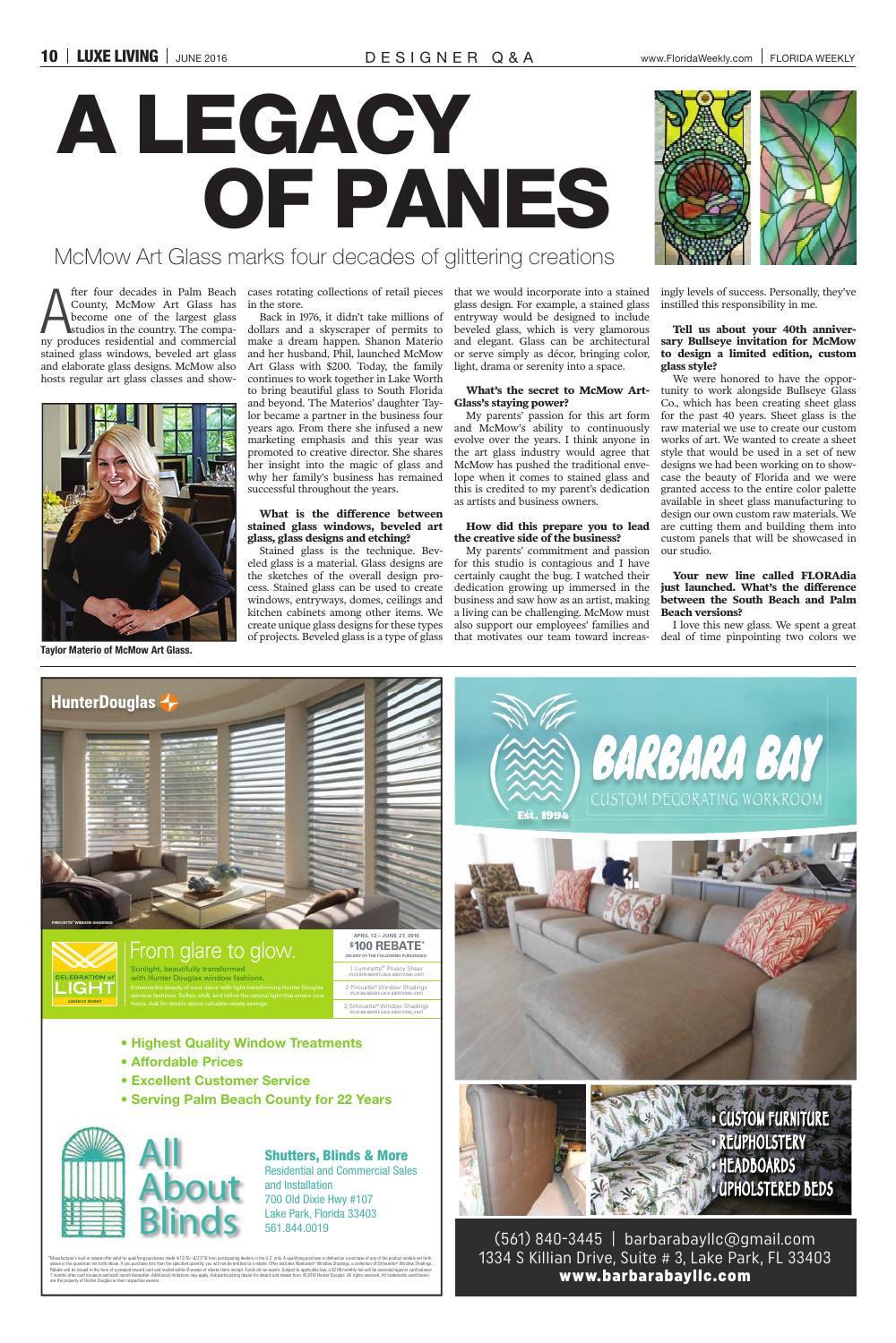# McMow Art Glass marks four decades of glittering creations

The four decades in Palm Beach<br>County, McMow Art Glass has<br>become one of the largest glass<br>studios in the country. The compa-<br>ny produces residential and commercial County, McMow Art Glass has become one of the largest glass studios in the country. The compastained glass windows, beveled art glass and elaborate glass designs. McMow also hosts regular art glass classes and show-

in the store.

Back in 1976, it didn't take millions of dollars and a skyscraper of permits to make a dream happen. Shanon Materio and her husband, Phil, launched McMow Art Glass with \$200. Today, the family continues to work together in Lake Worth to bring beautiful glass to South Florida and beyond. The Materios' daughter Taylor became a partner in the business four years ago. From there she infused a new marketing emphasis and this year was promoted to creative director. She shares her insight into the magic of glass and why her family's business has remained successful throughout the years.

fter four decades in Palm Beach cases rotating collections of retail pieces that we would incorporate into a stained glass design. For example, a stained glass entryway would be designed to include beveled glass, which is very glamorous and elegant. Glass can be architectural or serve simply as décor, bringing color, light, drama or serenity into a space.

# **What is the difference between stained glass windows, beveled art glass, glass designs and etching?**

Stained glass is the technique. Beveled glass is a material. Glass designs are the sketches of the overall design process. Stained glass can be used to create windows, entryways, domes, ceilings and kitchen cabinets among other items. We create unique glass designs for these types of projects. Beveled glass is a type of glass

## **What's the secret to McMow Art-Glass's staying power?**

My parents' passion for this art form and McMow's ability to continuously evolve over the years. I think anyone in the art glass industry would agree that McMow has pushed the traditional envelope when it comes to stained glass and this is credited to my parent's dedication as artists and business owners.

# **How did this prepare you to lead the creative side of the business?**

My parents' commitment and passion for this studio is contagious and I have certainly caught the bug. I watched their dedication growing up immersed in the business and saw how as an artist, making a living can be challenging. McMow must also support our employees' families and that motivates our team toward increas-



ingly levels of success. Personally, they've instilled this responsibility in me.

## **Tell us about your 40th anniversary Bullseye invitation for McMow to design a limited edition, custom glass style?**

\*Manufacturer's mail-in rebate offer valid for qualifying purchases made 4/12/16 – 6/27/16 from participating dealers in the U.S. only. A qualifying purchase is defined as a purchase of any of the product models set forth above in the quanties set forth above. If you purchase less than the specified quantity, you will not be entitled to a rebate. Offer excludes Nantucket" Window Shadings, a collection of Silhouetta® Window Shadings.<br>Rebate are the property of Hunter Douglas or their respective owners.

We were honored to have the opportunity to work alongside Bullseye Glass Co., which has been creating sheet glass for the past 40 years. Sheet glass is the raw material we use to create our custom works of art. We wanted to create a sheet style that would be used in a set of new designs we had been working on to showcase the beauty of Florida and we were granted access to the entire color palette available in sheet glass manufacturing to design our own custom raw materials. We are cutting them and building them into custom panels that will be showcased in our studio.

## **Your new line called FLORAdia just launched. What's the difference between the South Beach and Palm Beach versions?**

I love this new glass. We spent a great deal of time pinpointing two colors we

# A LEGACY OF PANES



**Taylor Materio of McMow Art Glass.**









# Shutters, Blinds & More Residential and Commercial Sales and Installation 700 Old Dixie Hwy #107 Lake Park, Florida 33403 561.844.0019

- **Highest Quality Window Treatments**
- **Affordable Prices**
- **Excellent Customer Service**
- **Serving Palm Beach County for 22 Years**